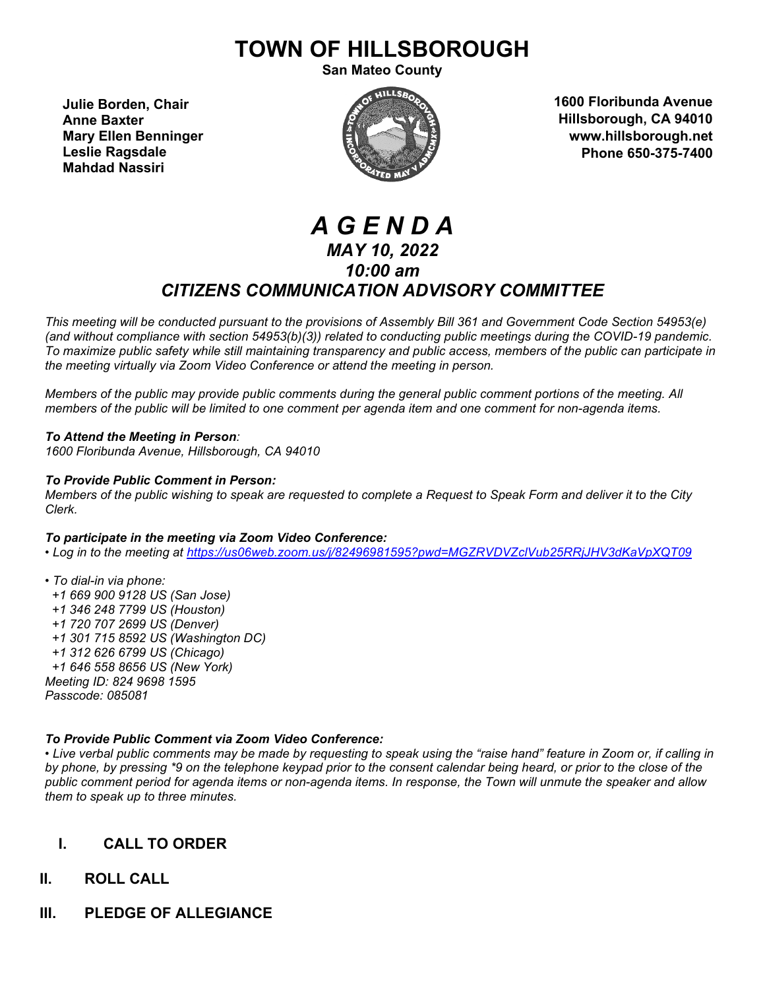# **TOWN OF HILLSBOROUGH**

**San Mateo County**

**Julie Borden, Chair Anne Baxter Mary Ellen Benninger Leslie Ragsdale Mahdad Nassiri**



**1600 Floribunda Avenue Hillsborough, CA 94010 www.hillsborough.net Phone 650-375-7400**

## *A G E N D A MAY 10, 2022 10:00 am CITIZENS COMMUNICATION ADVISORY COMMITTEE*

*This meeting will be conducted pursuant to the provisions of Assembly Bill 361 and Government Code Section 54953(e) (and without compliance with section 54953(b)(3)) related to conducting public meetings during the COVID-19 pandemic. To maximize public safety while still maintaining transparency and public access, members of the public can participate in the meeting virtually via Zoom Video Conference or attend the meeting in person.* 

*Members of the public may provide public comments during the general public comment portions of the meeting. All members of the public will be limited to one comment per agenda item and one comment for non-agenda items.* 

*To Attend the Meeting in Person: 1600 Floribunda Avenue, Hillsborough, CA 94010*

#### *To Provide Public Comment in Person:*

*Members of the public wishing to speak are requested to complete a Request to Speak Form and deliver it to the City Clerk.*

#### *To participate in the meeting via Zoom Video Conference:*

*• Log in to the meeting at<https://us06web.zoom.us/j/82496981595?pwd=MGZRVDVZclVub25RRjJHV3dKaVpXQT09>*

*• To dial-in via phone: +1 669 900 9128 US (San Jose) +1 346 248 7799 US (Houston) +1 720 707 2699 US (Denver) +1 301 715 8592 US (Washington DC) +1 312 626 6799 US (Chicago) +1 646 558 8656 US (New York) Meeting ID: 824 9698 1595 Passcode: 085081*

#### *To Provide Public Comment via Zoom Video Conference:*

*• Live verbal public comments may be made by requesting to speak using the "raise hand" feature in Zoom or, if calling in by phone, by pressing \*9 on the telephone keypad prior to the consent calendar being heard, or prior to the close of the public comment period for agenda items or non-agenda items. In response, the Town will unmute the speaker and allow them to speak up to three minutes.*

#### **I. CALL TO ORDER**

- **II. ROLL CALL**
- **III. PLEDGE OF ALLEGIANCE**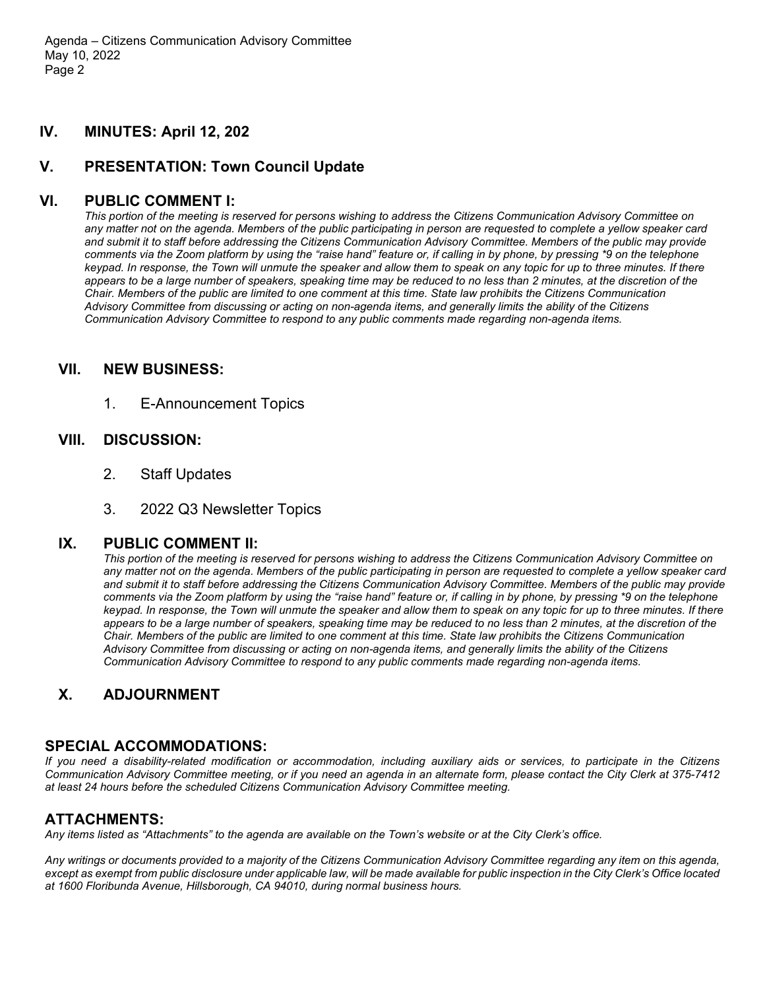#### **IV. MINUTES: April 12, 202**

## **V. PRESENTATION: Town Council Update**

## **VI. PUBLIC COMMENT I:**

*This portion of the meeting is reserved for persons wishing to address the Citizens Communication Advisory Committee on any matter not on the agenda. Members of the public participating in person are requested to complete a yellow speaker card and submit it to staff before addressing the Citizens Communication Advisory Committee. Members of the public may provide comments via the Zoom platform by using the "raise hand" feature or, if calling in by phone, by pressing \*9 on the telephone keypad. In response, the Town will unmute the speaker and allow them to speak on any topic for up to three minutes. If there appears to be a large number of speakers, speaking time may be reduced to no less than 2 minutes, at the discretion of the Chair. Members of the public are limited to one comment at this time. State law prohibits the Citizens Communication Advisory Committee from discussing or acting on non-agenda items, and generally limits the ability of the Citizens Communication Advisory Committee to respond to any public comments made regarding non-agenda items.*

#### **VII. NEW BUSINESS:**

1. E-Announcement Topics

## **VIII. DISCUSSION:**

- 2. Staff Updates
- 3. 2022 Q3 Newsletter Topics

## **IX. PUBLIC COMMENT II:**

*This portion of the meeting is reserved for persons wishing to address the Citizens Communication Advisory Committee on any matter not on the agenda. Members of the public participating in person are requested to complete a yellow speaker card and submit it to staff before addressing the Citizens Communication Advisory Committee. Members of the public may provide comments via the Zoom platform by using the "raise hand" feature or, if calling in by phone, by pressing \*9 on the telephone keypad. In response, the Town will unmute the speaker and allow them to speak on any topic for up to three minutes. If there appears to be a large number of speakers, speaking time may be reduced to no less than 2 minutes, at the discretion of the Chair. Members of the public are limited to one comment at this time. State law prohibits the Citizens Communication Advisory Committee from discussing or acting on non-agenda items, and generally limits the ability of the Citizens Communication Advisory Committee to respond to any public comments made regarding non-agenda items.*

## **X. ADJOURNMENT**

## **SPECIAL ACCOMMODATIONS:**

*If you need a disability-related modification or accommodation, including auxiliary aids or services, to participate in the Citizens Communication Advisory Committee meeting, or if you need an agenda in an alternate form, please contact the City Clerk at 375-7412 at least 24 hours before the scheduled Citizens Communication Advisory Committee meeting.*

## **ATTACHMENTS:**

*Any items listed as "Attachments" to the agenda are available on the Town's website or at the City Clerk's office.*

*Any writings or documents provided to a majority of the Citizens Communication Advisory Committee regarding any item on this agenda, except as exempt from public disclosure under applicable law, will be made available for public inspection in the City Clerk's Office located at 1600 Floribunda Avenue, Hillsborough, CA 94010, during normal business hours.*